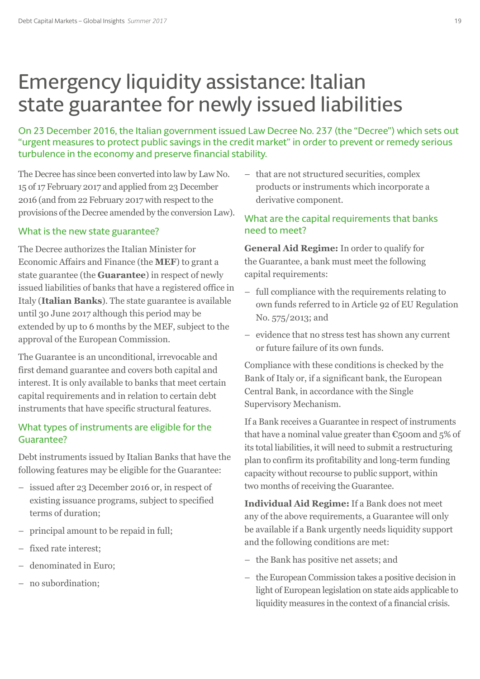# Emergency liquidity assistance: Italian state guarantee for newly issued liabilities

On 23 December 2016, the Italian government issued Law Decree No. 237 (the "Decree") which sets out "urgent measures to protect public savings in the credit market" in order to prevent or remedy serious turbulence in the economy and preserve financial stability.

The Decree has since been converted into law by Law No. 15 of 17 February 2017 and applied from 23 December 2016 (and from 22 February 2017 with respect to the provisions of the Decree amended by the conversion Law).

## What is the new state guarantee?

The Decree authorizes the Italian Minister for Economic Affairs and Finance (the **MEF**) to grant a state guarantee (the **Guarantee**) in respect of newly issued liabilities of banks that have a registered office in Italy (**Italian Banks**). The state guarantee is available until 30 June 2017 although this period may be extended by up to 6 months by the MEF, subject to the approval of the European Commission.

The Guarantee is an unconditional, irrevocable and first demand guarantee and covers both capital and interest. It is only available to banks that meet certain capital requirements and in relation to certain debt instruments that have specific structural features.

# What types of instruments are eligible for the Guarantee?

Debt instruments issued by Italian Banks that have the following features may be eligible for the Guarantee:

- issued after 23 December 2016 or, in respect of existing issuance programs, subject to specified terms of duration;
- principal amount to be repaid in full;
- fixed rate interest;
- denominated in Euro;
- no subordination;

– that are not structured securities, complex products or instruments which incorporate a derivative component.

# What are the capital requirements that banks need to meet?

**General Aid Regime:** In order to qualify for the Guarantee, a bank must meet the following capital requirements:

- full compliance with the requirements relating to own funds referred to in Article 92 of EU Regulation No. 575/2013; and
- evidence that no stress test has shown any current or future failure of its own funds.

Compliance with these conditions is checked by the Bank of Italy or, if a significant bank, the European Central Bank, in accordance with the Single Supervisory Mechanism.

If a Bank receives a Guarantee in respect of instruments that have a nominal value greater than  $\epsilon$ <sub>500</sub>m and 5% of its total liabilities, it will need to submit a restructuring plan to confirm its profitability and long-term funding capacity without recourse to public support, within two months of receiving the Guarantee.

**Individual Aid Regime:** If a Bank does not meet any of the above requirements, a Guarantee will only be available if a Bank urgently needs liquidity support and the following conditions are met:

- the Bank has positive net assets; and
- the European Commission takes a positive decision in light of European legislation on state aids applicable to liquidity measures in the context of a financial crisis.